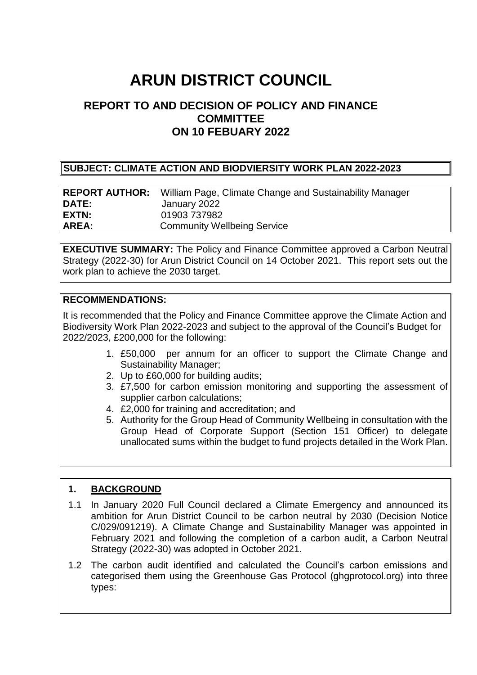# **ARUN DISTRICT COUNCIL**

# **REPORT TO AND DECISION OF POLICY AND FINANCE COMMITTEE ON 10 FEBUARY 2022**

#### **SUBJECT: CLIMATE ACTION AND BIODVIERSITY WORK PLAN 2022-2023**

|              | <b>REPORT AUTHOR:</b> William Page, Climate Change and Sustainability Manager |
|--------------|-------------------------------------------------------------------------------|
| <b>DATE:</b> | January 2022                                                                  |
| EXTN:        | 01903 737982                                                                  |
| AREA:        | <b>Community Wellbeing Service</b>                                            |

**EXECUTIVE SUMMARY:** The Policy and Finance Committee approved a Carbon Neutral Strategy (2022-30) for Arun District Council on 14 October 2021. This report sets out the work plan to achieve the 2030 target.

#### **RECOMMENDATIONS:**

It is recommended that the Policy and Finance Committee approve the Climate Action and Biodiversity Work Plan 2022-2023 and subject to the approval of the Council's Budget for 2022/2023, £200,000 for the following:

- 1. £50,000 per annum for an officer to support the Climate Change and Sustainability Manager;
- 2. Up to £60,000 for building audits;
- 3. £7,500 for carbon emission monitoring and supporting the assessment of supplier carbon calculations;
- 4. £2,000 for training and accreditation; and
- 5. Authority for the Group Head of Community Wellbeing in consultation with the Group Head of Corporate Support (Section 151 Officer) to delegate unallocated sums within the budget to fund projects detailed in the Work Plan.

### **1. BACKGROUND**

- 1.1 In January 2020 Full Council declared a Climate Emergency and announced its ambition for Arun District Council to be carbon neutral by 2030 (Decision Notice C/029/091219). A Climate Change and Sustainability Manager was appointed in February 2021 and following the completion of a carbon audit, a Carbon Neutral Strategy (2022-30) was adopted in October 2021.
- 1.2 The carbon audit identified and calculated the Council's carbon emissions and categorised them using the Greenhouse Gas Protocol (ghgprotocol.org) into three types: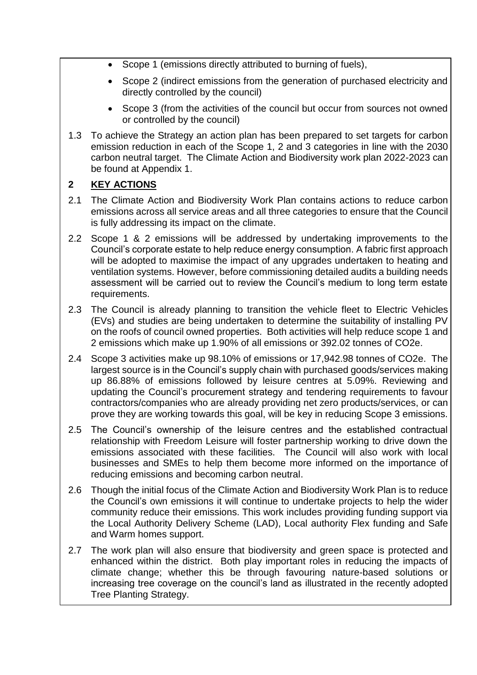- Scope 1 (emissions directly attributed to burning of fuels),
- Scope 2 (indirect emissions from the generation of purchased electricity and directly controlled by the council)
- Scope 3 (from the activities of the council but occur from sources not owned or controlled by the council)
- 1.3 To achieve the Strategy an action plan has been prepared to set targets for carbon emission reduction in each of the Scope 1, 2 and 3 categories in line with the 2030 carbon neutral target. The Climate Action and Biodiversity work plan 2022-2023 can be found at Appendix 1.

## **2 KEY ACTIONS**

- 2.1 The Climate Action and Biodiversity Work Plan contains actions to reduce carbon emissions across all service areas and all three categories to ensure that the Council is fully addressing its impact on the climate.
- 2.2 Scope 1 & 2 emissions will be addressed by undertaking improvements to the Council's corporate estate to help reduce energy consumption. A fabric first approach will be adopted to maximise the impact of any upgrades undertaken to heating and ventilation systems. However, before commissioning detailed audits a building needs assessment will be carried out to review the Council's medium to long term estate requirements.
- 2.3 The Council is already planning to transition the vehicle fleet to Electric Vehicles (EVs) and studies are being undertaken to determine the suitability of installing PV on the roofs of council owned properties. Both activities will help reduce scope 1 and 2 emissions which make up 1.90% of all emissions or 392.02 tonnes of CO2e.
- 2.4 Scope 3 activities make up 98.10% of emissions or 17,942.98 tonnes of CO2e. The largest source is in the Council's supply chain with purchased goods/services making up 86.88% of emissions followed by leisure centres at 5.09%. Reviewing and updating the Council's procurement strategy and tendering requirements to favour contractors/companies who are already providing net zero products/services, or can prove they are working towards this goal, will be key in reducing Scope 3 emissions.
- 2.5 The Council's ownership of the leisure centres and the established contractual relationship with Freedom Leisure will foster partnership working to drive down the emissions associated with these facilities. The Council will also work with local businesses and SMEs to help them become more informed on the importance of reducing emissions and becoming carbon neutral.
- 2.6 Though the initial focus of the Climate Action and Biodiversity Work Plan is to reduce the Council's own emissions it will continue to undertake projects to help the wider community reduce their emissions. This work includes providing funding support via the Local Authority Delivery Scheme (LAD), Local authority Flex funding and Safe and Warm homes support.
- 2.7 The work plan will also ensure that biodiversity and green space is protected and enhanced within the district. Both play important roles in reducing the impacts of climate change; whether this be through favouring nature-based solutions or increasing tree coverage on the council's land as illustrated in the recently adopted Tree Planting Strategy.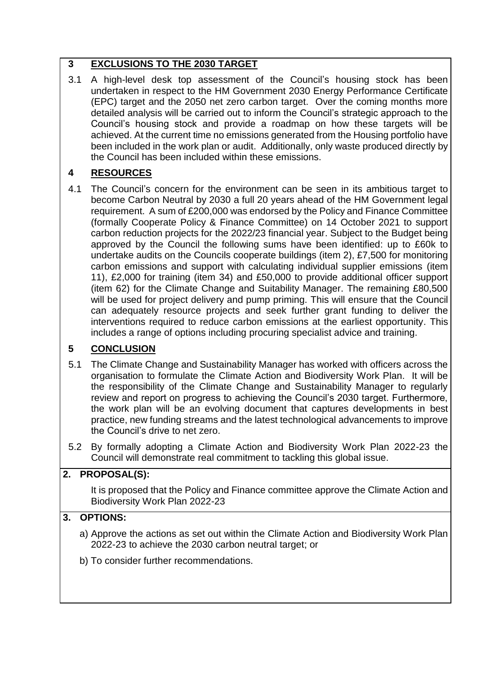# **3 EXCLUSIONS TO THE 2030 TARGET**

3.1 A high-level desk top assessment of the Council's housing stock has been undertaken in respect to the HM Government 2030 Energy Performance Certificate (EPC) target and the 2050 net zero carbon target. Over the coming months more detailed analysis will be carried out to inform the Council's strategic approach to the Council's housing stock and provide a roadmap on how these targets will be achieved. At the current time no emissions generated from the Housing portfolio have been included in the work plan or audit. Additionally, only waste produced directly by the Council has been included within these emissions.

# **4 RESOURCES**

4.1 The Council's concern for the environment can be seen in its ambitious target to become Carbon Neutral by 2030 a full 20 years ahead of the HM Government legal requirement. A sum of £200,000 was endorsed by the Policy and Finance Committee (formally Cooperate Policy & Finance Committee) on 14 October 2021 to support carbon reduction projects for the 2022/23 financial year. Subject to the Budget being approved by the Council the following sums have been identified: up to £60k to undertake audits on the Councils cooperate buildings (item 2), £7,500 for monitoring carbon emissions and support with calculating individual supplier emissions (item 11), £2,000 for training (item 34) and £50,000 to provide additional officer support (item 62) for the Climate Change and Suitability Manager. The remaining £80,500 will be used for project delivery and pump priming. This will ensure that the Council can adequately resource projects and seek further grant funding to deliver the interventions required to reduce carbon emissions at the earliest opportunity. This includes a range of options including procuring specialist advice and training.

# **5 CONCLUSION**

- 5.1 The Climate Change and Sustainability Manager has worked with officers across the organisation to formulate the Climate Action and Biodiversity Work Plan. It will be the responsibility of the Climate Change and Sustainability Manager to regularly review and report on progress to achieving the Council's 2030 target. Furthermore, the work plan will be an evolving document that captures developments in best practice, new funding streams and the latest technological advancements to improve the Council's drive to net zero.
- 5.2 By formally adopting a Climate Action and Biodiversity Work Plan 2022-23 the Council will demonstrate real commitment to tackling this global issue.

# **2. PROPOSAL(S):** It is proposed that the Policy and Finance committee approve the Climate Action and Biodiversity Work Plan 2022-23

# **3. OPTIONS:**

- a) Approve the actions as set out within the Climate Action and Biodiversity Work Plan 2022-23 to achieve the 2030 carbon neutral target; or
- b) To consider further recommendations.